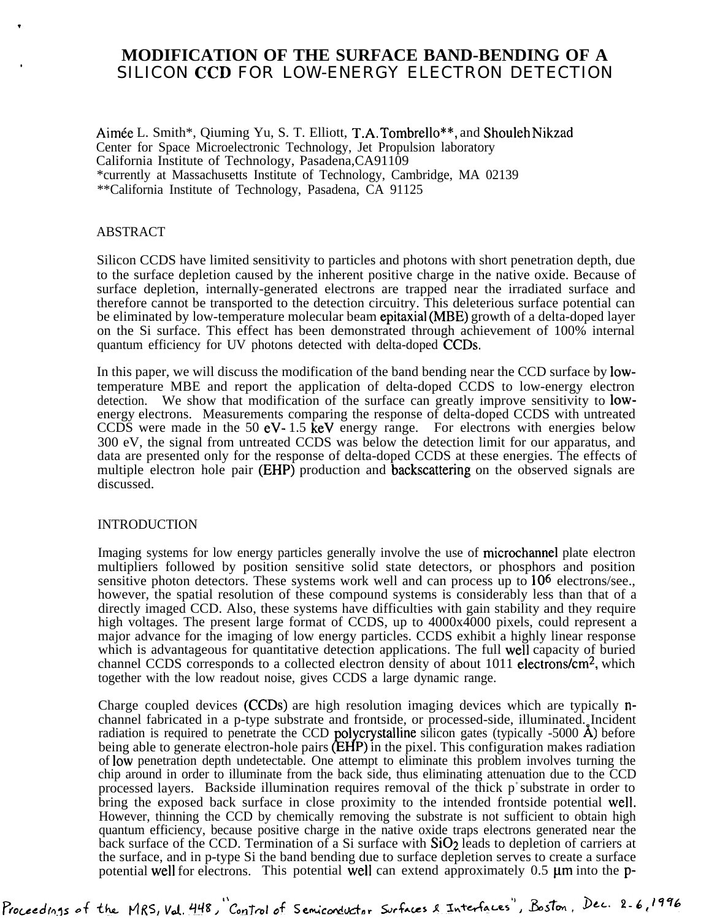# **. MODIFICATION OF THE SURFACE BAND-BENDING OF A** SILICON CCD FOR LOW-ENERGY ELECTRON DETECTION

Aim6e L. Smith\*, Qiuming Yu, S. T. Elliott, T.A, Tombrello\*\*, and Shouleh Nikzad Center for Space Microelectronic Technology, Jet Propulsion laboratory California Institute of Technology, Pasadena,CA91109 \*currently at Massachusetts Institute of Technology, Cambridge, MA 02139 \*\*California Institute of Technology, Pasadena, CA 91125

## ABSTRACT

,

Silicon CCDS have limited sensitivity to particles and photons with short penetration depth, due to the surface depletion caused by the inherent positive charge in the native oxide. Because of surface depletion, internally-generated electrons are trapped near the irradiated surface and therefore cannot be transported to the detection circuitry. This deleterious surface potential can be eliminated by low-temperature molecular beam epitaxial (MBE) growth of a delta-doped layer on the Si surface. This effect has been demonstrated through achievement of 100% internal quantum efficiency for UV photons detected with delta-doped CCDS.

In this paper, we will discuss the modification of the band bending near the CCD surface by lowtemperature MBE and report the application of delta-doped CCDS to low-energy electron detection. We show that modification of the surface can greatly improve sensitivity to lowenergy electrons. Measurements comparing the response of delta-doped CCDS with untreated CCDS were made in the 50  $eV - 1.5 keV$  energy range. For electrons with energies below 300 eV, the signal from untreated CCDS was below the detection limit for our apparatus, and data are presented only for the response of delta-doped CCDS at these energies. The effects of multiple electron hole pair (EHP) production and **backscattering** on the observed signals are discussed.

#### INTRODUCTION

Imaging systems for low energy particles generally involve the use of microchannel plate electron multipliers followed by position sensitive solid state detectors, or phosphors and position sensitive photon detectors. These systems work well and can process up to 10<sup>6</sup> electrons/see., however, the spatial resolution of these compound systems is considerably less than that of a directly imaged CCD. Also, these systems have difficulties with gain stability and they require high voltages. The present large format of CCDS, up to 4000x4000 pixels, could represent a major advance for the imaging of low energy particles. CCDS exhibit a highly linear response which is advantageous for quantitative detection applications. The full well capacity of buried channel CCDS corresponds to a collected electron density of about 1011 electrons/cm<sup>2</sup>, which together with the low readout noise, gives CCDS a large dynamic range.

Charge coupled devices (CCDS) are high resolution imaging devices which are typically nchannel fabricated in a p-type substrate and frontside, or processed-side, illuminated. Incident radiation is required to penetrate the CCD polycrystalline silicon gates (typically  $-5000$  Å) before being able to generate electron-hole pairs (EHP) in the pixel. This configuration makes radiation of low penetration depth undetectable. One attempt to eliminate this problem involves turning the chip around in order to illuminate from the back side, thus eliminating attenuation due to the CCD processed layers. Backside illumination requires removal of the thick  $p^*$ substrate in order to bring the exposed back surface in close proximity to the intended frontside potential well. However, thinning the CCD by chemically removing the substrate is not sufficient to obtain high quantum efficiency, because positive charge in the native oxide traps electrons generated near the back surface of the CCD. Termination of a Si surface with  $SiO<sub>2</sub>$  leads to depletion of carriers at the surface, and in p-type Si the band bending due to surface depletion serves to create a surface potential well for electrons. This potential well can extend approximately  $0.5 \mu m$  into the p-

Proceedings of the MRS, Val. 448, "Control of Semiconductor Surfaces & Interfaces", Boston, Dec. 2-6, 1996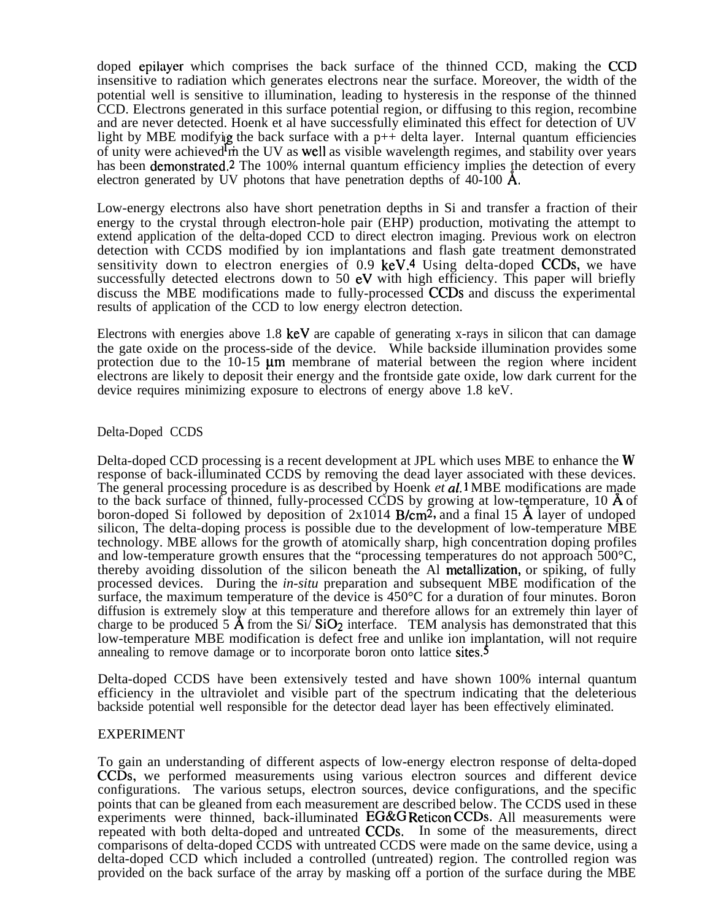doped epilayer which comprises the back surface of the thinned CCD, making the CCD insensitive to radiation which generates electrons near the surface. Moreover, the width of the potential well is sensitive to illumination, leading to hysteresis in the response of the thinned CCD. Electrons generated in this surface potential region, or diffusing to this region, recombine and are never detected. Hoenk et al have successfully eliminated this effect for detection of UV light by MBE modifyig the back surface with a  $p++$  delta layer. Internal quantum efficiencies Fight by MDE modifying the back surface with a p<sup>++</sup> delta fayer. Internal quantum efficiencies<br>of unity were achieved in the UV as well as visible wavelength regimes, and stability over years has been demonstrated.<sup>2</sup> The 100% internal quantum efficiency implies the detection of every electron generated by UV photons that have penetration depths of  $40-100$  Å.

Low-energy electrons also have short penetration depths in Si and transfer a fraction of their energy to the crystal through electron-hole pair (EHP) production, motivating the attempt to extend application of the delta-doped CCD to direct electron imaging. Previous work on electron detection with CCDS modified by ion implantations and flash gate treatment demonstrated sensitivity down to electron energies of 0.9 keV.4 Using delta-doped CCDS, we have successfully detected electrons down to 50 eV with high efficiency. This paper will briefly discuss the MBE modifications made to fully-processed CCDS and discuss the experimental results of application of the CCD to low energy electron detection.

Electrons with energies above 1.8  $keV$  are capable of generating x-rays in silicon that can damage the gate oxide on the process-side of the device. While backside illumination provides some protection due to the  $10-15 \mu m$  membrane of material between the region where incident electrons are likely to deposit their energy and the frontside gate oxide, low dark current for the device requires minimizing exposure to electrons of energy above 1.8 keV.

## Delta-Doped CCDS

Delta-doped CCD processing is a recent development at JPL which uses MBE to enhance the *W* response of back-illuminated CCDS by removing the dead layer associated with these devices. The general processing procedure is as described by Hoenk *et aL <sup>1</sup>* MBE modifications are made to the back surface of thinned, fully-processed CCDS by growing at low-temperature,  $10 \mathbf{\AA}$  of boron-doped Si followed by deposition of  $2x1014$  B/cm<sup>2</sup>, and a final 15  $\AA$  layer of undoped silicon, The delta-doping process is possible due to the development of low-temperature MBE technology. MBE allows for the growth of atomically sharp, high concentration doping profiles and low-temperature growth ensures that the "processing temperatures do not approach 500°C, thereby avoiding dissolution of the silicon beneath the Al metallization, or spiking, of fully processed devices. During the *in-situ* preparation and subsequent MBE modification of the surface, the maximum temperature of the device is 450°C for a duration of four minutes. Boron diffusion is extremely slow at this temperature and therefore allows for an extremely thin layer of charge to be produced 5  $\AA$  from the Si/ $\overline{SiO_2}$  interface. TEM analysis has demonstrated that this low-temperature MBE modification is defect free and unlike ion implantation, will not require annealing to remove damage or to incorporate boron onto lattice sites.<sup>5</sup>

Delta-doped CCDS have been extensively tested and have shown 100% internal quantum efficiency in the ultraviolet and visible part of the spectrum indicating that the deleterious backside potential well responsible for the detector dead layer has been effectively eliminated.

## EXPERIMENT

To gain an understanding of different aspects of low-energy electron response of delta-doped CCDS, we performed measurements using various electron sources and different device configurations. The various setups, electron sources, device configurations, and the specific points that can be gleaned from each measurement are described below. The CCDS used in these experiments were thinned, back-illuminated EG&G Reticon CCDs. All measurements were repeated with both delta-doped and untreated CCDS. In some of the measurements, direct comparisons of delta-doped CCDS with untreated CCDS were made on the same device, using a delta-doped CCD which included a controlled (untreated) region. The controlled region was provided on the back surface of the array by masking off a portion of the surface during the MBE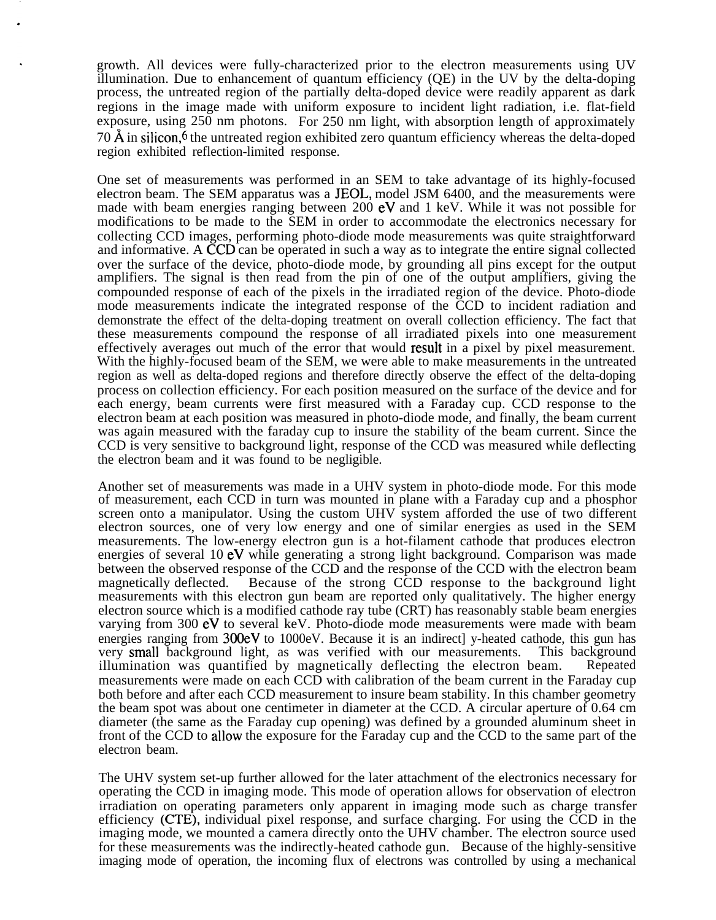growth. All devices were fully-characterized prior to the electron measurements using UV illumination. Due to enhancement of quantum efficiency (QE) in the UV by the delta-doping process, the untreated region of the partially delta-doped device were readily apparent as dark regions in the image made with uniform exposure to incident light radiation, i.e. flat-field exposure, using 250 nm photons. For 250 nm light, with absorption length of approximately 70  $\AA$  in silicon,<sup>6</sup> the untreated region exhibited zero quantum efficiency whereas the delta-doped region exhibited reflection-limited response.

One set of measurements was performed in an SEM to take advantage of its highly-focused electron beam. The SEM apparatus was a JEOL, model JSM 6400, and the measurements were made with beam energies ranging between 200 eV and 1 keV. While it was not possible for modifications to be made to the SEM in order to accommodate the electronics necessary for collecting CCD images, performing photo-diode mode measurements was quite straightforward and informative. A CCD can be operated in such a way as to integrate the entire signal collected over the surface of the device, photo-diode mode, by grounding all pins except for the output amplifiers. The signal is then read from the pin of one of the output amplifiers, giving the compounded response of each of the pixels in the irradiated region of the device. Photo-diode mode measurements indicate the integrated response of the CCD to incident radiation and demonstrate the effect of the delta-doping treatment on overall collection efficiency. The fact that these measurements compound the response of all irradiated pixels into one measurement effectively averages out much of the error that would resuh in a pixel by pixel measurement. With the highly-focused beam of the SEM, we were able to make measurements in the untreated region as well as delta-doped regions and therefore directly observe the effect of the delta-doping process on collection efficiency. For each position measured on the surface of the device and for each energy, beam currents were first measured with a Faraday cup. CCD response to the electron beam at each position was measured in photo-diode mode, and finally, the beam current was again measured with the faraday cup to insure the stability of the beam current. Since the CCD is very sensitive to background light, response of the CCD was measured while deflecting the electron beam and it was found to be negligible.

Another set of measurements was made in a UHV system in photo-diode mode. For this mode of measurement, each CCD in turn was mounted in plane with a Faraday cup and a phosphor screen onto a manipulator. Using the custom UHV system afforded the use of two different electron sources, one of very low energy and one of similar energies as used in the SEM measurements. The low-energy electron gun is a hot-filament cathode that produces electron energies of several 10 eV while generating a strong light background. Comparison was made between the observed response of the CCD and the response of the CCD with the electron beam magnetically deflected. Because of the strong CCD response to the background light measurements with this electron gun beam are reported only qualitatively. The higher energy electron source which is a modified cathode ray tube (CRT) has reasonably stable beam energies varying from 300 eV to several keV. Photo-diode mode measurements were made with beam energies ranging from 300eV to 1000eV. Because it is an indirect | y-heated cathode, this gun has very small background light, as was verified with our measurements. This background illumination was quantified by magnetically deflecting the electron beam. Repeated measurements were made on each CCD with calibration of the beam current in the Faraday cup both before and after each CCD measurement to insure beam stability. In this chamber geometry the beam spot was about one centimeter in diameter at the CCD. A circular aperture of 0.64 cm diameter (the same as the Faraday cup opening) was defined by a grounded aluminum sheet in front of the CCD to allow the exposure for the Faraday cup and the CCD to the same part of the electron beam.

The UHV system set-up further allowed for the later attachment of the electronics necessary for operating the CCD in imaging mode. This mode of operation allows for observation of electron irradiation on operating parameters only apparent in imaging mode such as charge transfer efficiency (CTE), individual pixel response, and surface charging. For using the CCD in the imaging mode, we mounted a camera directly onto the UHV chamber. The electron source used for these measurements was the indirectly-heated cathode gun. Because of the highly-sensitive imaging mode of operation, the incoming flux of electrons was controlled by using a mechanical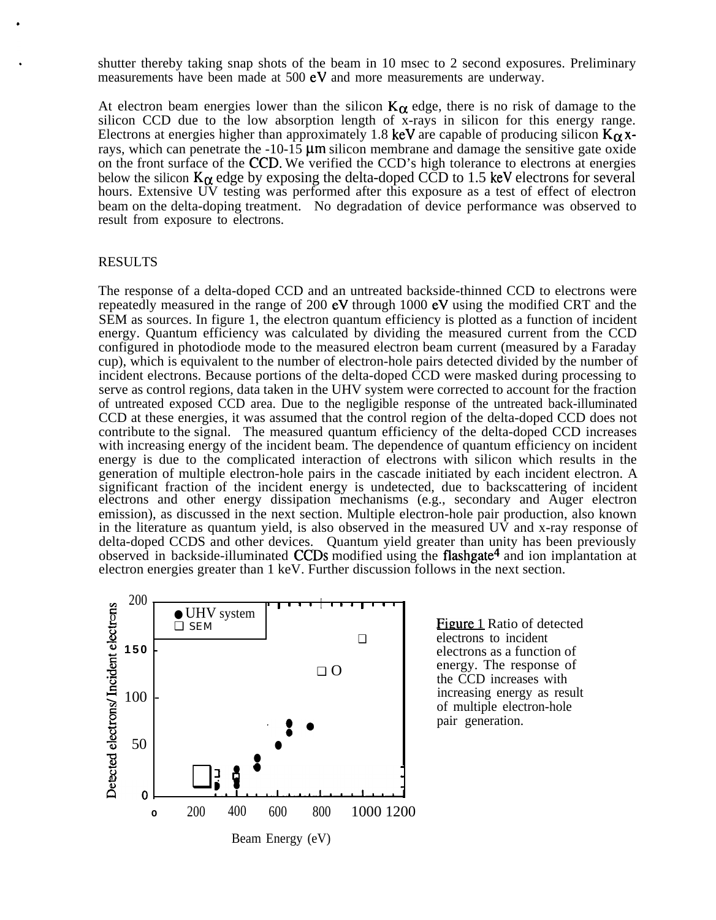shutter thereby taking snap shots of the beam in 10 msec to 2 second exposures. Preliminary measurements have been made at 500  $eV$  and more measurements are underway.

At electron beam energies lower than the silicon  $K_{\alpha}$  edge, there is no risk of damage to the silicon CCD due to the low absorption length of x-rays in silicon for this energy range. Electrons at energies higher than approximately 1.8 keV are capable of producing silicon  $K_{\alpha}$  xrays, which can penetrate the  $-10-15 \mu m$  silicon membrane and damage the sensitive gate oxide on the front surface of the CCD. We verified the CCD's high tolerance to electrons at energies below the silicon  $K_{\alpha}$  edge by exposing the delta-doped CCD to 1.5 keV electrons for several hours. Extensive UV testing was performed after this exposure as a test of effect of electron beam on the delta-doping treatment. No degradation of device performance was observed to result from exposure to electrons.

#### RESULTS

The response of a delta-doped CCD and an untreated backside-thinned CCD to electrons were repeatedly measured in the range of 200 eV through 1000 eV using the modified CRT and the SEM as sources. In figure 1, the electron quantum efficiency is plotted as a function of incident energy. Quantum efficiency was calculated by dividing the measured current from the CCD configured in photodiode mode to the measured electron beam current (measured by a Faraday cup), which is equivalent to the number of electron-hole pairs detected divided by the number of incident electrons. Because portions of the delta-doped CCD were masked during processing to serve as control regions, data taken in the UHV system were corrected to account for the fraction of untreated exposed CCD area. Due to the negligible response of the untreated back-illuminated CCD at these energies, it was assumed that the control region of the delta-doped CCD does not contribute to the signal. The measured quantum efficiency of the delta-doped CCD increases with increasing energy of the incident beam. The dependence of quantum efficiency on incident energy is due to the complicated interaction of electrons with silicon which results in the generation of multiple electron-hole pairs in the cascade initiated by each incident electron. A significant fraction of the incident energy is undetected, due to backscattering of incident electrons and other energy dissipation mechanisms (e.g., secondary and Auger electron emission), as discussed in the next section. Multiple electron-hole pair production, also known in the literature as quantum yield, is also observed in the measured UV and x-ray response of delta-doped CCDS and other devices. Quantum yield greater than unity has been previously observed in backside-illuminated CCDs modified using the flashgate<sup>4</sup> and ion implantation at electron energies greater than 1 keV. Further discussion follows in the next section.



:**<sup>150</sup> -** electrons as a function of energy. The response of  $\Box$  O energy. The response increasing energy as result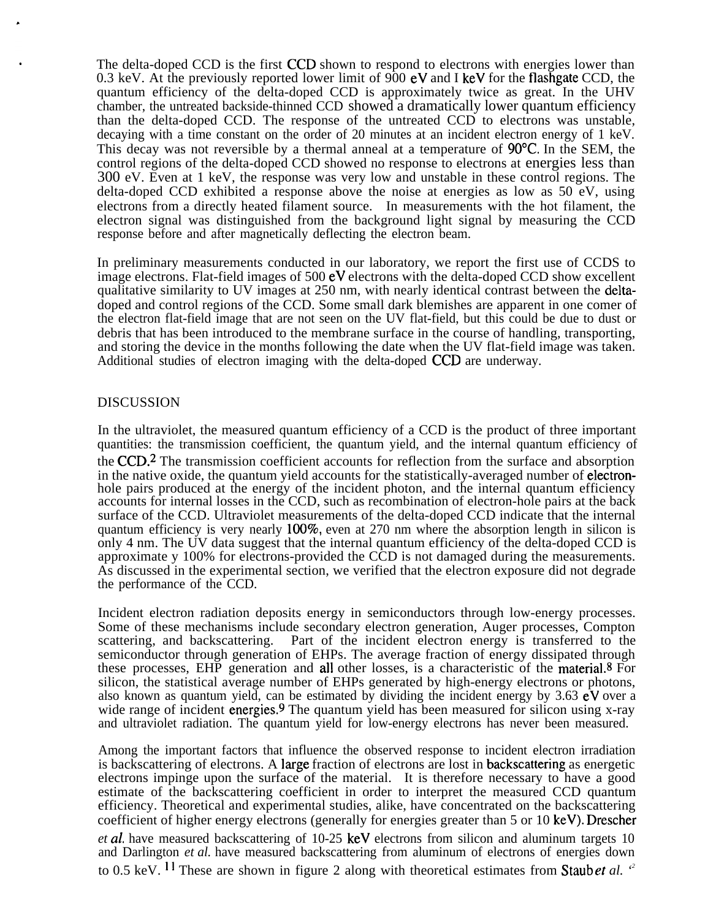The delta-doped CCD is the first CCD shown to respond to electrons with energies lower than 0.3 keV. At the previously reported lower limit of  $900 \text{ eV}$  and I keV for the flashgate CCD, the quantum efficiency of the delta-doped CCD is approximately twice as great. In the UHV chamber, the untreated backside-thinned CCD showed a dramatically lower quantum efficiency than the delta-doped CCD. The response of the untreated CCD to electrons was unstable, decaying with a time constant on the order of 20 minutes at an incident electron energy of 1 keV. This decay was not reversible by a thermal anneal at a temperature of 90"C. In the SEM, the control regions of the delta-doped CCD showed no response to electrons at energies less than 300 eV. Even at 1 keV, the response was very low and unstable in these control regions. The delta-doped CCD exhibited a response above the noise at energies as low as 50 eV, using electrons from a directly heated filament source. In measurements with the hot filament, the electron signal was distinguished from the background light signal by measuring the CCD response before and after magnetically deflecting the electron beam.

In preliminary measurements conducted in our laboratory, we report the first use of CCDS to image electrons. Flat-field images of 500 eV electrons with the delta-doped CCD show excellent qualitative similarity to UV images at 250 nm, with nearly identical contrast between the deltadoped and control regions of the CCD. Some small dark blemishes are apparent in one comer of the electron flat-field image that are not seen on the UV flat-field, but this could be due to dust or debris that has been introduced to the membrane surface in the course of handling, transporting, and storing the device in the months following the date when the UV flat-field image was taken. Additional studies of electron imaging with the delta-doped CCD are underway.

## DISCUSSION

In the ultraviolet, the measured quantum efficiency of a CCD is the product of three important quantities: the transmission coefficient, the quantum yield, and the internal quantum efficiency of the CCD.<sup>2</sup> The transmission coefficient accounts for reflection from the surface and absorption in the native oxide, the quantum yield accounts for the statistically-averaged number of electronhole pairs produced at the energy of the incident photon, and the internal quantum efficiency accounts for internal losses in the CCD, such as recombination of electron-hole pairs at the back surface of the CCD. Ultraviolet measurements of the delta-doped CCD indicate that the internal quantum efficiency is very nearly  $100\%$ , even at 270 nm where the absorption length in silicon is only 4 nm. The UV data suggest that the internal quantum efficiency of the delta-doped CCD is approximate y 100% for electrons-provided the CCD is not damaged during the measurements. As discussed in the experimental section, we verified that the electron exposure did not degrade the performance of the CCD.

Incident electron radiation deposits energy in semiconductors through low-energy processes. Some of these mechanisms include secondary electron generation, Auger processes, Compton scattering, and backscattering. Part of the incident electron energy is transferred to the Part of the incident electron energy is transferred to the semiconductor through generation of EHPs. The average fraction of energy dissipated through these processes, EHP generation and all other losses, is a characteristic of the material.8 For silicon, the statistical average number of EHPs generated by high-energy electrons or photons, also known as quantum yield, can be estimated by dividing the incident energy by 3.63  $eV$  over a wide range of incident energies.<sup>9</sup> The quantum yield has been measured for silicon using x-ray and ultraviolet radiation. The quantum yield for low-energy electrons has never been measured.

Among the important factors that influence the observed response to incident electron irradiation is backscattering of electrons. A large fraction of electrons are lost in backscattering as energetic electrons impinge upon the surface of the material. It is therefore necessary to have a good estimate of the backscattering coefficient in order to interpret the measured CCD quantum efficiency. Theoretical and experimental studies, alike, have concentrated on the backscattering coefficient of higher energy electrons (generally for energies greater than 5 or 10 keV). Drescher *et af.* have measured backscattering of 10-25 keV electrons from silicon and aluminum targets 10 and Darlington *et al.* have measured backscattering from aluminum of electrons of energies down to 0.5 keV. 11 These are shown in figure 2 along with theoretical estimates from Staub et *al. '<sup>2</sup>*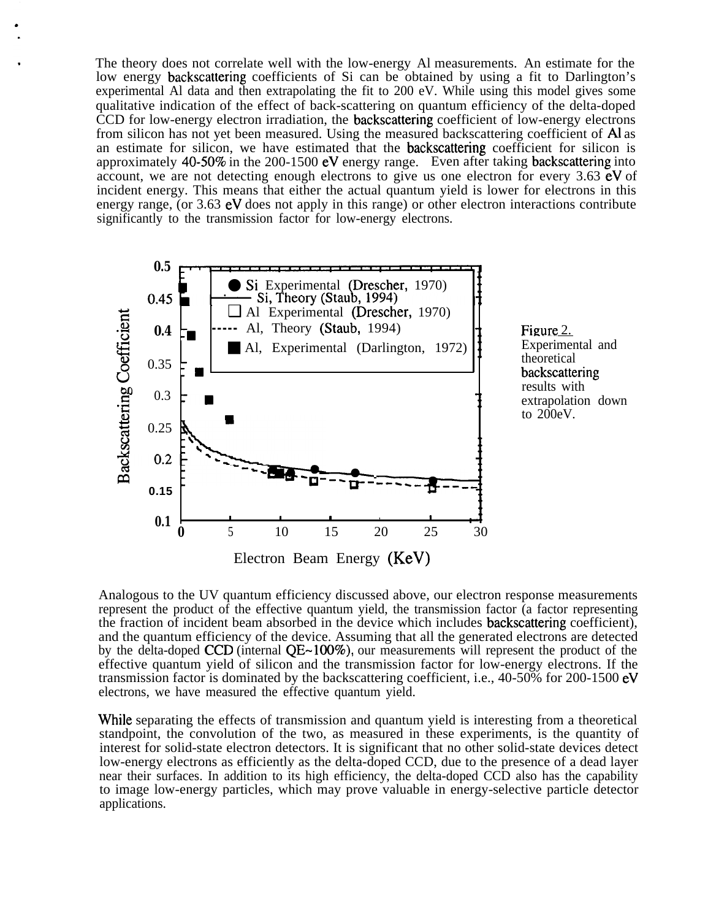The theory does not correlate well with the low-energy Al measurements. An estimate for the low energy backscattering coefficients of Si can be obtained by using a fit to Darlington's experimental Al data and then extrapolating the fit to 200 eV. While using this model gives some qualitative indication of the effect of back-scattering on quantum efficiency of the delta-doped CCD for low-energy electron irradiation, the backscattering coefficient of low-energy electrons from silicon has not yet been measured. Using the measured backscattering coefficient of Al as an estimate for silicon, we have estimated that the backscattering coefficient for silicon is approximately  $40-50\%$  in the 200-1500 eV energy range. Even after taking backscattering into account, we are not detecting enough electrons to give us one electron for every 3.63 eV of incident energy. This means that either the actual quantum yield is lower for electrons in this energy range, (or 3.63 eV does not apply in this range) or other electron interactions contribute significantly to the transmission factor for low-energy electrons.



Analogous to the UV quantum efficiency discussed above, our electron response measurements represent the product of the effective quantum yield, the transmission factor (a factor representing the fraction of incident beam absorbed in the device which includes backscattering coefficient), and the quantum efficiency of the device. Assuming that all the generated electrons are detected by the delta-doped CCD (internal  $QE \sim 100\%$ ), our measurements will represent the product of the effective quantum yield of silicon and the transmission factor for low-energy electrons. If the transmission factor is dominated by the backscattering coefficient, i.e., 40-50% for 200-1500 eV electrons, we have measured the effective quantum yield.

While separating the effects of transmission and quantum yield is interesting from a theoretical standpoint, the convolution of the two, as measured in these experiments, is the quantity of interest for solid-state electron detectors. It is significant that no other solid-state devices detect low-energy electrons as efficiently as the delta-doped CCD, due to the presence of a dead layer near their surfaces. In addition to its high efficiency, the delta-doped CCD also has the capability to image low-energy particles, which may prove valuable in energy-selective particle detector applications.